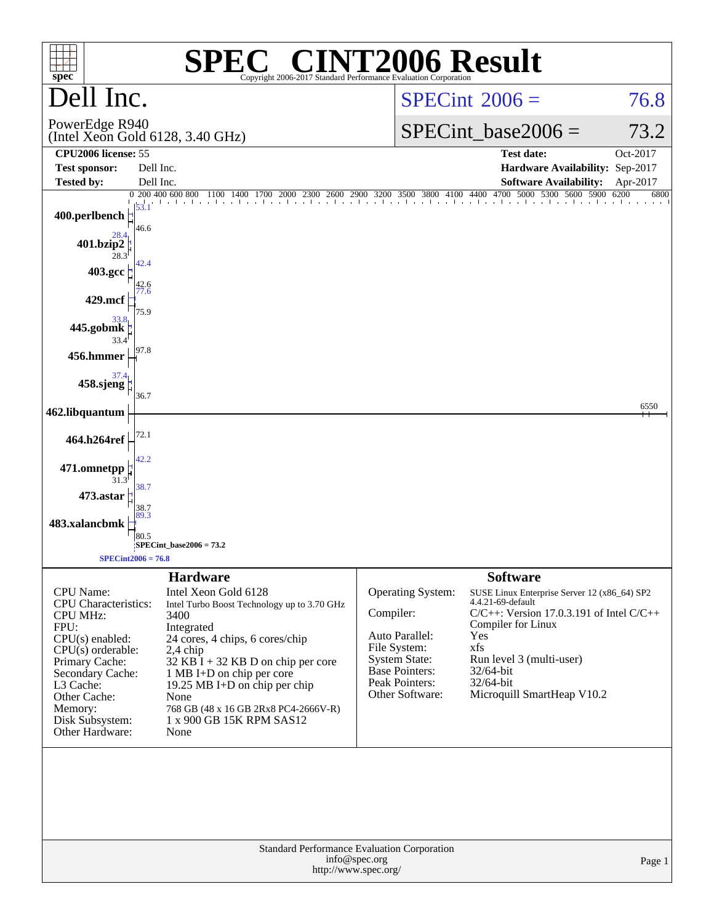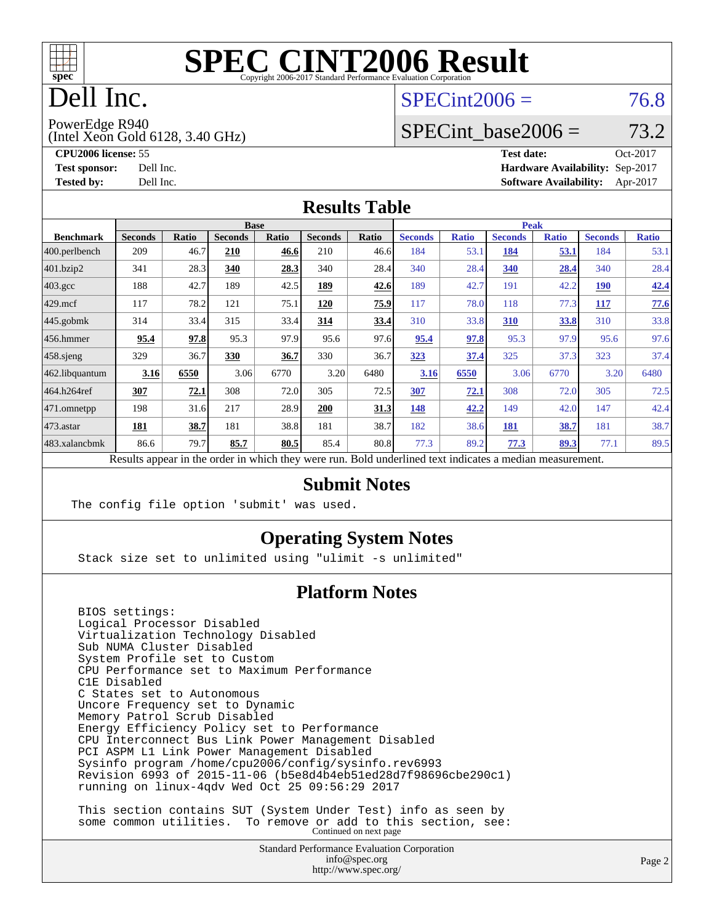

# Dell Inc.

#### $SPECint2006 = 76.8$  $SPECint2006 = 76.8$

PowerEdge R940

(Intel Xeon Gold 6128, 3.40 GHz)

SPECint base2006 =  $73.2$ 

**[CPU2006 license:](http://www.spec.org/auto/cpu2006/Docs/result-fields.html#CPU2006license)** 55 **[Test date:](http://www.spec.org/auto/cpu2006/Docs/result-fields.html#Testdate)** Oct-2017 **[Test sponsor:](http://www.spec.org/auto/cpu2006/Docs/result-fields.html#Testsponsor)** Dell Inc. **[Hardware Availability:](http://www.spec.org/auto/cpu2006/Docs/result-fields.html#HardwareAvailability)** Sep-2017 **[Tested by:](http://www.spec.org/auto/cpu2006/Docs/result-fields.html#Testedby)** Dell Inc. **[Software Availability:](http://www.spec.org/auto/cpu2006/Docs/result-fields.html#SoftwareAvailability)** Apr-2017

#### **[Results Table](http://www.spec.org/auto/cpu2006/Docs/result-fields.html#ResultsTable)**

|                    | <b>Base</b>                                                                                              |              |                |       |                |       |                | <b>Peak</b>  |                |              |                |              |  |
|--------------------|----------------------------------------------------------------------------------------------------------|--------------|----------------|-------|----------------|-------|----------------|--------------|----------------|--------------|----------------|--------------|--|
| <b>Benchmark</b>   | <b>Seconds</b>                                                                                           | <b>Ratio</b> | <b>Seconds</b> | Ratio | <b>Seconds</b> | Ratio | <b>Seconds</b> | <b>Ratio</b> | <b>Seconds</b> | <b>Ratio</b> | <b>Seconds</b> | <b>Ratio</b> |  |
| $ 400$ .perlbench  | 209                                                                                                      | 46.7         | 210            | 46.6  | 210            | 46.6  | 184            | 53.1         | 184            | 53.1         | 184            | 53.1         |  |
| 401.bzip2          | 341                                                                                                      | 28.3         | 340            | 28.3  | 340            | 28.4  | 340            | 28.4         | 340            | 28.4         | 340            | 28.4         |  |
| $403.\mathrm{gcc}$ | 188                                                                                                      | 42.7         | 189            | 42.5  | 189            | 42.6  | 189            | 42.7         | 191            | 42.2         | <b>190</b>     | 42.4         |  |
| $429$ .mcf         | 117                                                                                                      | 78.2         | 121            | 75.1  | 120            | 75.9  | 117            | 78.0         | 118            | 77.3         | 117            | 77.6         |  |
| $445$ .gobmk       | 314                                                                                                      | 33.4         | 315            | 33.4  | 314            | 33.4  | 310            | 33.8         | 310            | 33.8         | 310            | 33.8         |  |
| 456.hmmer          | 95.4                                                                                                     | 97.8         | 95.3           | 97.9  | 95.6           | 97.6  | 95.4           | 97.8         | 95.3           | 97.9         | 95.6           | 97.6         |  |
| $458$ .sjeng       | 329                                                                                                      | 36.7         | 330            | 36.7  | 330            | 36.7  | 323            | 37.4         | 325            | 37.3         | 323            | 37.4         |  |
| 462.libquantum     | 3.16                                                                                                     | 6550         | 3.06           | 6770  | 3.20           | 6480  | 3.16           | 6550         | 3.06           | 6770         | 3.20           | 6480         |  |
| 464.h264ref        | 307                                                                                                      | 72.1         | 308            | 72.0  | 305            | 72.5  | 307            | 72.1         | 308            | 72.0         | 305            | 72.5         |  |
| 471.omnetpp        | 198                                                                                                      | 31.6         | 217            | 28.9  | 200            | 31.3  | 148            | 42.2         | 149            | 42.0         | 147            | 42.4         |  |
| $473.$ astar       | 181                                                                                                      | 38.7         | 181            | 38.8  | 181            | 38.7  | 182            | 38.6         | 181            | 38.7         | 181            | 38.7         |  |
| 483.xalancbmk      | 86.6                                                                                                     | 79.7         | 85.7           | 80.5  | 85.4           | 80.8  | 77.3           | 89.2         | 77.3           | 89.3         | 77.1           | 89.5         |  |
|                    | Results appear in the order in which they were run. Bold underlined text indicates a median measurement. |              |                |       |                |       |                |              |                |              |                |              |  |

#### **[Submit Notes](http://www.spec.org/auto/cpu2006/Docs/result-fields.html#SubmitNotes)**

The config file option 'submit' was used.

#### **[Operating System Notes](http://www.spec.org/auto/cpu2006/Docs/result-fields.html#OperatingSystemNotes)**

Stack size set to unlimited using "ulimit -s unlimited"

#### **[Platform Notes](http://www.spec.org/auto/cpu2006/Docs/result-fields.html#PlatformNotes)**

 BIOS settings: Logical Processor Disabled Virtualization Technology Disabled Sub NUMA Cluster Disabled System Profile set to Custom CPU Performance set to Maximum Performance C1E Disabled C States set to Autonomous Uncore Frequency set to Dynamic Memory Patrol Scrub Disabled Energy Efficiency Policy set to Performance CPU Interconnect Bus Link Power Management Disabled PCI ASPM L1 Link Power Management Disabled Sysinfo program /home/cpu2006/config/sysinfo.rev6993 Revision 6993 of 2015-11-06 (b5e8d4b4eb51ed28d7f98696cbe290c1) running on linux-4qdv Wed Oct 25 09:56:29 2017 This section contains SUT (System Under Test) info as seen by

some common utilities. To remove or add to this section, see:<br>Continued on next page

Standard Performance Evaluation Corporation [info@spec.org](mailto:info@spec.org) <http://www.spec.org/>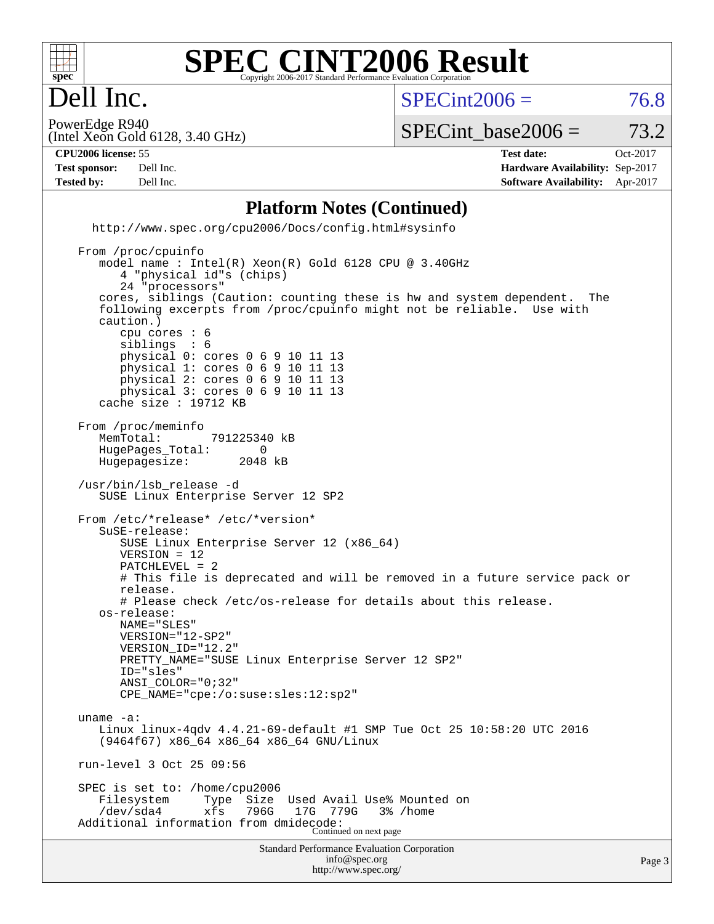

Dell Inc.

 $SPECint2006 = 76.8$  $SPECint2006 = 76.8$ 

(Intel Xeon Gold 6128, 3.40 GHz) PowerEdge R940

#### SPECint base2006 =  $73.2$

**[Tested by:](http://www.spec.org/auto/cpu2006/Docs/result-fields.html#Testedby)** Dell Inc. **[Software Availability:](http://www.spec.org/auto/cpu2006/Docs/result-fields.html#SoftwareAvailability)** Apr-2017

**[CPU2006 license:](http://www.spec.org/auto/cpu2006/Docs/result-fields.html#CPU2006license)** 55 **[Test date:](http://www.spec.org/auto/cpu2006/Docs/result-fields.html#Testdate)** Oct-2017 **[Test sponsor:](http://www.spec.org/auto/cpu2006/Docs/result-fields.html#Testsponsor)** Dell Inc. **[Hardware Availability:](http://www.spec.org/auto/cpu2006/Docs/result-fields.html#HardwareAvailability)** Sep-2017

#### **[Platform Notes \(Continued\)](http://www.spec.org/auto/cpu2006/Docs/result-fields.html#PlatformNotes)**

 <http://www.spec.org/cpu2006/Docs/config.html#sysinfo> From /proc/cpuinfo

```
Standard Performance Evaluation Corporation
                                       info@spec.org
     model name : Intel(R) Xeon(R) Gold 6128 CPU @ 3.40GHz
        4 "physical id"s (chips)
        24 "processors"
     cores, siblings (Caution: counting these is hw and system dependent. The
     following excerpts from /proc/cpuinfo might not be reliable. Use with
     caution.)
       cpu cores : 6<br>siblings : 6
       siblings
        physical 0: cores 0 6 9 10 11 13
        physical 1: cores 0 6 9 10 11 13
        physical 2: cores 0 6 9 10 11 13
        physical 3: cores 0 6 9 10 11 13
     cache size : 19712 KB
 From /proc/meminfo
    MemTotal: 791225340 kB<br>HugePages Total: 0
    HugePages_Total: 0<br>Hugepagesize: 2048 kB
    Hugepagesize:
  /usr/bin/lsb_release -d
     SUSE Linux Enterprise Server 12 SP2
 From /etc/*release* /etc/*version*
     SuSE-release:
        SUSE Linux Enterprise Server 12 (x86_64)
        VERSION = 12
        PATCHLEVEL = 2
        # This file is deprecated and will be removed in a future service pack or
        release.
        # Please check /etc/os-release for details about this release.
     os-release:
        NAME="SLES"
        VERSION="12-SP2"
        VERSION_ID="12.2"
        PRETTY_NAME="SUSE Linux Enterprise Server 12 SP2"
        ID="sles"
        ANSI_COLOR="0;32"
        CPE_NAME="cpe:/o:suse:sles:12:sp2"
 uname -a:
     Linux linux-4qdv 4.4.21-69-default #1 SMP Tue Oct 25 10:58:20 UTC 2016
     (9464f67) x86_64 x86_64 x86_64 GNU/Linux
 run-level 3 Oct 25 09:56
SPEC is set to: /home/cpu2006<br>Filesystem Type Size
                                  Used Avail Use% Mounted on
     /dev/sda4 xfs 796G 17G 779G 3% /home
 Additional information from dmidecode:
Continued on next page
```
<http://www.spec.org/>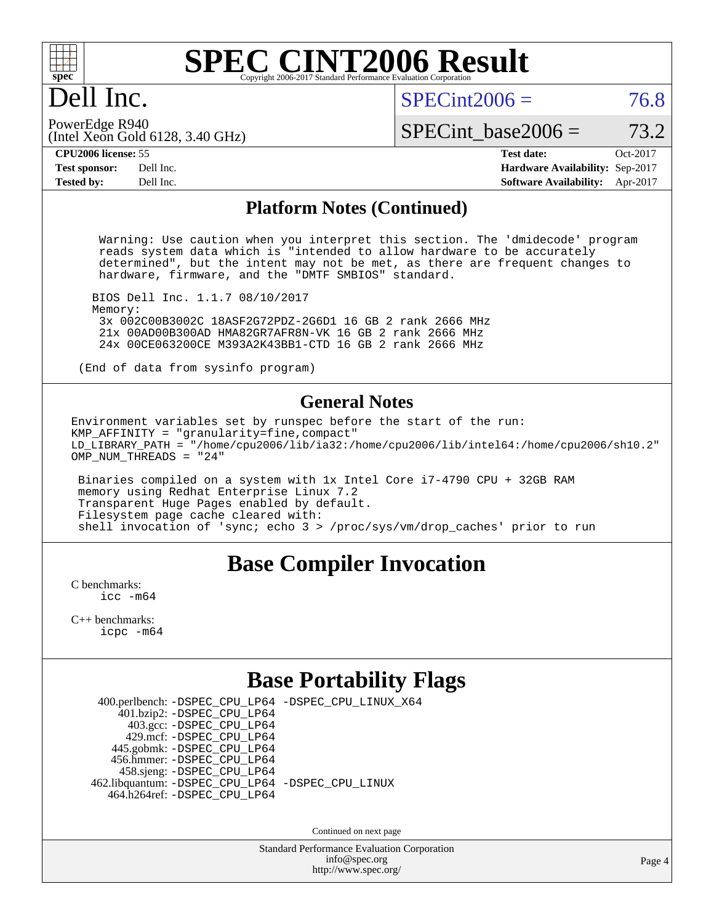

### Dell Inc.

 $SPECint2006 = 76.8$  $SPECint2006 = 76.8$ 

(Intel Xeon Gold 6128, 3.40 GHz) PowerEdge R940

SPECint base2006 =  $73.2$ 

**[CPU2006 license:](http://www.spec.org/auto/cpu2006/Docs/result-fields.html#CPU2006license)** 55 **[Test date:](http://www.spec.org/auto/cpu2006/Docs/result-fields.html#Testdate)** Oct-2017 **[Test sponsor:](http://www.spec.org/auto/cpu2006/Docs/result-fields.html#Testsponsor)** Dell Inc. **[Hardware Availability:](http://www.spec.org/auto/cpu2006/Docs/result-fields.html#HardwareAvailability)** Sep-2017 **[Tested by:](http://www.spec.org/auto/cpu2006/Docs/result-fields.html#Testedby)** Dell Inc. **[Software Availability:](http://www.spec.org/auto/cpu2006/Docs/result-fields.html#SoftwareAvailability)** Apr-2017

#### **[Platform Notes \(Continued\)](http://www.spec.org/auto/cpu2006/Docs/result-fields.html#PlatformNotes)**

 Warning: Use caution when you interpret this section. The 'dmidecode' program reads system data which is "intended to allow hardware to be accurately determined", but the intent may not be met, as there are frequent changes to hardware, firmware, and the "DMTF SMBIOS" standard.

 BIOS Dell Inc. 1.1.7 08/10/2017 Memory: 3x 002C00B3002C 18ASF2G72PDZ-2G6D1 16 GB 2 rank 2666 MHz 21x 00AD00B300AD HMA82GR7AFR8N-VK 16 GB 2 rank 2666 MHz 24x 00CE063200CE M393A2K43BB1-CTD 16 GB 2 rank 2666 MHz

(End of data from sysinfo program)

#### **[General Notes](http://www.spec.org/auto/cpu2006/Docs/result-fields.html#GeneralNotes)**

Environment variables set by runspec before the start of the run: KMP\_AFFINITY = "granularity=fine,compact" LD\_LIBRARY\_PATH = "/home/cpu2006/lib/ia32:/home/cpu2006/lib/intel64:/home/cpu2006/sh10.2" OMP\_NUM\_THREADS = "24"

 Binaries compiled on a system with 1x Intel Core i7-4790 CPU + 32GB RAM memory using Redhat Enterprise Linux 7.2 Transparent Huge Pages enabled by default. Filesystem page cache cleared with: shell invocation of 'sync; echo 3 > /proc/sys/vm/drop\_caches' prior to run

#### **[Base Compiler Invocation](http://www.spec.org/auto/cpu2006/Docs/result-fields.html#BaseCompilerInvocation)**

[C benchmarks](http://www.spec.org/auto/cpu2006/Docs/result-fields.html#Cbenchmarks): [icc -m64](http://www.spec.org/cpu2006/results/res2017q4/cpu2006-20171114-50535.flags.html#user_CCbase_intel_icc_64bit_bda6cc9af1fdbb0edc3795bac97ada53)

[C++ benchmarks:](http://www.spec.org/auto/cpu2006/Docs/result-fields.html#CXXbenchmarks) [icpc -m64](http://www.spec.org/cpu2006/results/res2017q4/cpu2006-20171114-50535.flags.html#user_CXXbase_intel_icpc_64bit_fc66a5337ce925472a5c54ad6a0de310)

### **[Base Portability Flags](http://www.spec.org/auto/cpu2006/Docs/result-fields.html#BasePortabilityFlags)**

 400.perlbench: [-DSPEC\\_CPU\\_LP64](http://www.spec.org/cpu2006/results/res2017q4/cpu2006-20171114-50535.flags.html#b400.perlbench_basePORTABILITY_DSPEC_CPU_LP64) [-DSPEC\\_CPU\\_LINUX\\_X64](http://www.spec.org/cpu2006/results/res2017q4/cpu2006-20171114-50535.flags.html#b400.perlbench_baseCPORTABILITY_DSPEC_CPU_LINUX_X64)  $401.bzip2: -DSPEC_CPULP64$  403.gcc: [-DSPEC\\_CPU\\_LP64](http://www.spec.org/cpu2006/results/res2017q4/cpu2006-20171114-50535.flags.html#suite_basePORTABILITY403_gcc_DSPEC_CPU_LP64) 429.mcf: [-DSPEC\\_CPU\\_LP64](http://www.spec.org/cpu2006/results/res2017q4/cpu2006-20171114-50535.flags.html#suite_basePORTABILITY429_mcf_DSPEC_CPU_LP64) 445.gobmk: [-DSPEC\\_CPU\\_LP64](http://www.spec.org/cpu2006/results/res2017q4/cpu2006-20171114-50535.flags.html#suite_basePORTABILITY445_gobmk_DSPEC_CPU_LP64) 456.hmmer: [-DSPEC\\_CPU\\_LP64](http://www.spec.org/cpu2006/results/res2017q4/cpu2006-20171114-50535.flags.html#suite_basePORTABILITY456_hmmer_DSPEC_CPU_LP64) 458.sjeng: [-DSPEC\\_CPU\\_LP64](http://www.spec.org/cpu2006/results/res2017q4/cpu2006-20171114-50535.flags.html#suite_basePORTABILITY458_sjeng_DSPEC_CPU_LP64) 462.libquantum: [-DSPEC\\_CPU\\_LP64](http://www.spec.org/cpu2006/results/res2017q4/cpu2006-20171114-50535.flags.html#suite_basePORTABILITY462_libquantum_DSPEC_CPU_LP64) [-DSPEC\\_CPU\\_LINUX](http://www.spec.org/cpu2006/results/res2017q4/cpu2006-20171114-50535.flags.html#b462.libquantum_baseCPORTABILITY_DSPEC_CPU_LINUX) 464.h264ref: [-DSPEC\\_CPU\\_LP64](http://www.spec.org/cpu2006/results/res2017q4/cpu2006-20171114-50535.flags.html#suite_basePORTABILITY464_h264ref_DSPEC_CPU_LP64)

Continued on next page

Standard Performance Evaluation Corporation [info@spec.org](mailto:info@spec.org) <http://www.spec.org/>

Page 4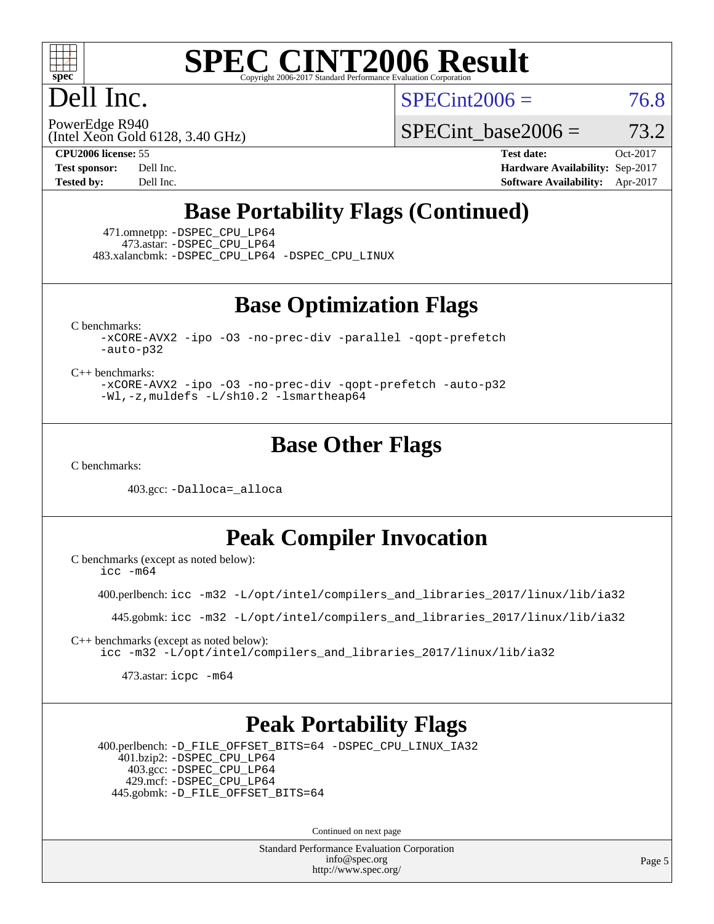

### Dell Inc.

 $SPECint2006 = 76.8$  $SPECint2006 = 76.8$ 

(Intel Xeon Gold 6128, 3.40 GHz) PowerEdge R940

SPECint base2006 =  $73.2$ 

**[CPU2006 license:](http://www.spec.org/auto/cpu2006/Docs/result-fields.html#CPU2006license)** 55 **[Test date:](http://www.spec.org/auto/cpu2006/Docs/result-fields.html#Testdate)** Oct-2017 **[Test sponsor:](http://www.spec.org/auto/cpu2006/Docs/result-fields.html#Testsponsor)** Dell Inc. **[Hardware Availability:](http://www.spec.org/auto/cpu2006/Docs/result-fields.html#HardwareAvailability)** Sep-2017 **[Tested by:](http://www.spec.org/auto/cpu2006/Docs/result-fields.html#Testedby)** Dell Inc. **[Software Availability:](http://www.spec.org/auto/cpu2006/Docs/result-fields.html#SoftwareAvailability)** Apr-2017

### **[Base Portability Flags \(Continued\)](http://www.spec.org/auto/cpu2006/Docs/result-fields.html#BasePortabilityFlags)**

 471.omnetpp: [-DSPEC\\_CPU\\_LP64](http://www.spec.org/cpu2006/results/res2017q4/cpu2006-20171114-50535.flags.html#suite_basePORTABILITY471_omnetpp_DSPEC_CPU_LP64) 473.astar: [-DSPEC\\_CPU\\_LP64](http://www.spec.org/cpu2006/results/res2017q4/cpu2006-20171114-50535.flags.html#suite_basePORTABILITY473_astar_DSPEC_CPU_LP64) 483.xalancbmk: [-DSPEC\\_CPU\\_LP64](http://www.spec.org/cpu2006/results/res2017q4/cpu2006-20171114-50535.flags.html#suite_basePORTABILITY483_xalancbmk_DSPEC_CPU_LP64) [-DSPEC\\_CPU\\_LINUX](http://www.spec.org/cpu2006/results/res2017q4/cpu2006-20171114-50535.flags.html#b483.xalancbmk_baseCXXPORTABILITY_DSPEC_CPU_LINUX)

**[Base Optimization Flags](http://www.spec.org/auto/cpu2006/Docs/result-fields.html#BaseOptimizationFlags)**

[C benchmarks](http://www.spec.org/auto/cpu2006/Docs/result-fields.html#Cbenchmarks):

[-xCORE-AVX2](http://www.spec.org/cpu2006/results/res2017q4/cpu2006-20171114-50535.flags.html#user_CCbase_f-xCORE-AVX2) [-ipo](http://www.spec.org/cpu2006/results/res2017q4/cpu2006-20171114-50535.flags.html#user_CCbase_f-ipo) [-O3](http://www.spec.org/cpu2006/results/res2017q4/cpu2006-20171114-50535.flags.html#user_CCbase_f-O3) [-no-prec-div](http://www.spec.org/cpu2006/results/res2017q4/cpu2006-20171114-50535.flags.html#user_CCbase_f-no-prec-div) [-parallel](http://www.spec.org/cpu2006/results/res2017q4/cpu2006-20171114-50535.flags.html#user_CCbase_f-parallel) [-qopt-prefetch](http://www.spec.org/cpu2006/results/res2017q4/cpu2006-20171114-50535.flags.html#user_CCbase_f-qopt-prefetch) [-auto-p32](http://www.spec.org/cpu2006/results/res2017q4/cpu2006-20171114-50535.flags.html#user_CCbase_f-auto-p32)

[C++ benchmarks:](http://www.spec.org/auto/cpu2006/Docs/result-fields.html#CXXbenchmarks)

[-xCORE-AVX2](http://www.spec.org/cpu2006/results/res2017q4/cpu2006-20171114-50535.flags.html#user_CXXbase_f-xCORE-AVX2) [-ipo](http://www.spec.org/cpu2006/results/res2017q4/cpu2006-20171114-50535.flags.html#user_CXXbase_f-ipo) [-O3](http://www.spec.org/cpu2006/results/res2017q4/cpu2006-20171114-50535.flags.html#user_CXXbase_f-O3) [-no-prec-div](http://www.spec.org/cpu2006/results/res2017q4/cpu2006-20171114-50535.flags.html#user_CXXbase_f-no-prec-div) [-qopt-prefetch](http://www.spec.org/cpu2006/results/res2017q4/cpu2006-20171114-50535.flags.html#user_CXXbase_f-qopt-prefetch) [-auto-p32](http://www.spec.org/cpu2006/results/res2017q4/cpu2006-20171114-50535.flags.html#user_CXXbase_f-auto-p32) [-Wl,-z,muldefs](http://www.spec.org/cpu2006/results/res2017q4/cpu2006-20171114-50535.flags.html#user_CXXbase_link_force_multiple1_74079c344b956b9658436fd1b6dd3a8a) [-L/sh10.2 -lsmartheap64](http://www.spec.org/cpu2006/results/res2017q4/cpu2006-20171114-50535.flags.html#user_CXXbase_SmartHeap64_63911d860fc08c15fa1d5bf319b9d8d5)

#### **[Base Other Flags](http://www.spec.org/auto/cpu2006/Docs/result-fields.html#BaseOtherFlags)**

[C benchmarks](http://www.spec.org/auto/cpu2006/Docs/result-fields.html#Cbenchmarks):

403.gcc: [-Dalloca=\\_alloca](http://www.spec.org/cpu2006/results/res2017q4/cpu2006-20171114-50535.flags.html#b403.gcc_baseEXTRA_CFLAGS_Dalloca_be3056838c12de2578596ca5467af7f3)

**[Peak Compiler Invocation](http://www.spec.org/auto/cpu2006/Docs/result-fields.html#PeakCompilerInvocation)**

[C benchmarks \(except as noted below\)](http://www.spec.org/auto/cpu2006/Docs/result-fields.html#Cbenchmarksexceptasnotedbelow): [icc -m64](http://www.spec.org/cpu2006/results/res2017q4/cpu2006-20171114-50535.flags.html#user_CCpeak_intel_icc_64bit_bda6cc9af1fdbb0edc3795bac97ada53)

400.perlbench: [icc -m32 -L/opt/intel/compilers\\_and\\_libraries\\_2017/linux/lib/ia32](http://www.spec.org/cpu2006/results/res2017q4/cpu2006-20171114-50535.flags.html#user_peakCCLD400_perlbench_intel_icc_c29f3ff5a7ed067b11e4ec10a03f03ae)

445.gobmk: [icc -m32 -L/opt/intel/compilers\\_and\\_libraries\\_2017/linux/lib/ia32](http://www.spec.org/cpu2006/results/res2017q4/cpu2006-20171114-50535.flags.html#user_peakCCLD445_gobmk_intel_icc_c29f3ff5a7ed067b11e4ec10a03f03ae)

[C++ benchmarks \(except as noted below\):](http://www.spec.org/auto/cpu2006/Docs/result-fields.html#CXXbenchmarksexceptasnotedbelow) [icc -m32 -L/opt/intel/compilers\\_and\\_libraries\\_2017/linux/lib/ia32](http://www.spec.org/cpu2006/results/res2017q4/cpu2006-20171114-50535.flags.html#user_CXXpeak_intel_icc_c29f3ff5a7ed067b11e4ec10a03f03ae)

473.astar: [icpc -m64](http://www.spec.org/cpu2006/results/res2017q4/cpu2006-20171114-50535.flags.html#user_peakCXXLD473_astar_intel_icpc_64bit_fc66a5337ce925472a5c54ad6a0de310)

#### **[Peak Portability Flags](http://www.spec.org/auto/cpu2006/Docs/result-fields.html#PeakPortabilityFlags)**

 400.perlbench: [-D\\_FILE\\_OFFSET\\_BITS=64](http://www.spec.org/cpu2006/results/res2017q4/cpu2006-20171114-50535.flags.html#user_peakPORTABILITY400_perlbench_file_offset_bits_64_438cf9856305ebd76870a2c6dc2689ab) [-DSPEC\\_CPU\\_LINUX\\_IA32](http://www.spec.org/cpu2006/results/res2017q4/cpu2006-20171114-50535.flags.html#b400.perlbench_peakCPORTABILITY_DSPEC_CPU_LINUX_IA32) 401.bzip2: [-DSPEC\\_CPU\\_LP64](http://www.spec.org/cpu2006/results/res2017q4/cpu2006-20171114-50535.flags.html#suite_peakPORTABILITY401_bzip2_DSPEC_CPU_LP64) 403.gcc: [-DSPEC\\_CPU\\_LP64](http://www.spec.org/cpu2006/results/res2017q4/cpu2006-20171114-50535.flags.html#suite_peakPORTABILITY403_gcc_DSPEC_CPU_LP64) 429.mcf: [-DSPEC\\_CPU\\_LP64](http://www.spec.org/cpu2006/results/res2017q4/cpu2006-20171114-50535.flags.html#suite_peakPORTABILITY429_mcf_DSPEC_CPU_LP64) 445.gobmk: [-D\\_FILE\\_OFFSET\\_BITS=64](http://www.spec.org/cpu2006/results/res2017q4/cpu2006-20171114-50535.flags.html#user_peakPORTABILITY445_gobmk_file_offset_bits_64_438cf9856305ebd76870a2c6dc2689ab)

Continued on next page

Standard Performance Evaluation Corporation [info@spec.org](mailto:info@spec.org) <http://www.spec.org/>

Page 5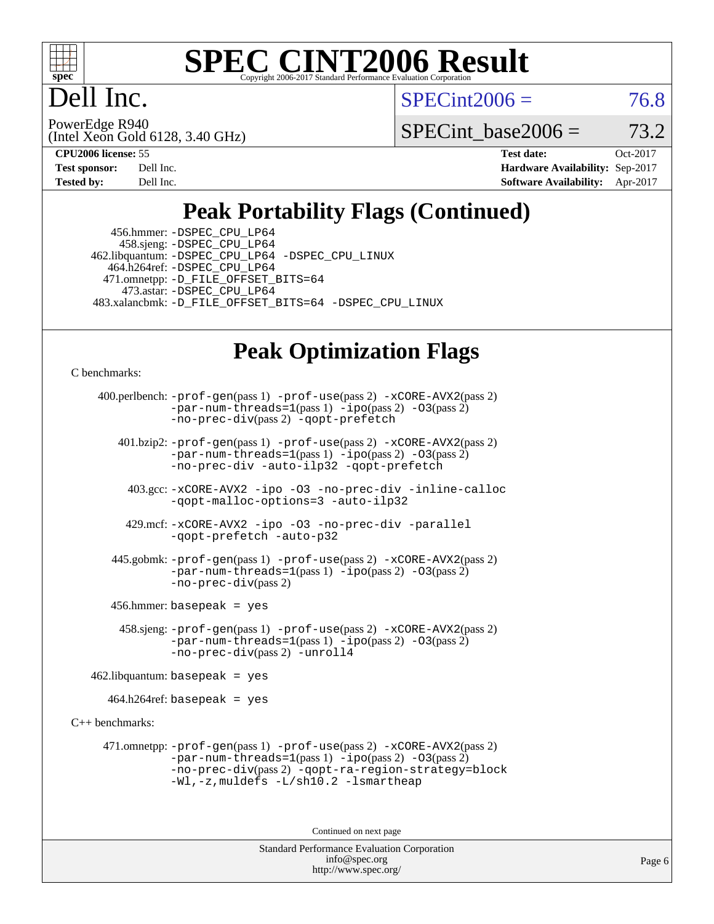

Dell Inc.

 $SPECint2006 = 76.8$  $SPECint2006 = 76.8$ 

(Intel Xeon Gold 6128, 3.40 GHz) PowerEdge R940

SPECint base2006 =  $73.2$ 

| <b>Test sponsor:</b> | Dell Inc. |
|----------------------|-----------|
| <b>Tested by:</b>    | Dell Inc. |

**[CPU2006 license:](http://www.spec.org/auto/cpu2006/Docs/result-fields.html#CPU2006license)** 55 **[Test date:](http://www.spec.org/auto/cpu2006/Docs/result-fields.html#Testdate)** Oct-2017 **[Hardware Availability:](http://www.spec.org/auto/cpu2006/Docs/result-fields.html#HardwareAvailability)** Sep-2017 **[Software Availability:](http://www.spec.org/auto/cpu2006/Docs/result-fields.html#SoftwareAvailability)** Apr-2017

### **[Peak Portability Flags \(Continued\)](http://www.spec.org/auto/cpu2006/Docs/result-fields.html#PeakPortabilityFlags)**

 456.hmmer: [-DSPEC\\_CPU\\_LP64](http://www.spec.org/cpu2006/results/res2017q4/cpu2006-20171114-50535.flags.html#suite_peakPORTABILITY456_hmmer_DSPEC_CPU_LP64) 458.sjeng: [-DSPEC\\_CPU\\_LP64](http://www.spec.org/cpu2006/results/res2017q4/cpu2006-20171114-50535.flags.html#suite_peakPORTABILITY458_sjeng_DSPEC_CPU_LP64) 462.libquantum: [-DSPEC\\_CPU\\_LP64](http://www.spec.org/cpu2006/results/res2017q4/cpu2006-20171114-50535.flags.html#suite_peakPORTABILITY462_libquantum_DSPEC_CPU_LP64) [-DSPEC\\_CPU\\_LINUX](http://www.spec.org/cpu2006/results/res2017q4/cpu2006-20171114-50535.flags.html#b462.libquantum_peakCPORTABILITY_DSPEC_CPU_LINUX) 464.h264ref: [-DSPEC\\_CPU\\_LP64](http://www.spec.org/cpu2006/results/res2017q4/cpu2006-20171114-50535.flags.html#suite_peakPORTABILITY464_h264ref_DSPEC_CPU_LP64) 471.omnetpp: [-D\\_FILE\\_OFFSET\\_BITS=64](http://www.spec.org/cpu2006/results/res2017q4/cpu2006-20171114-50535.flags.html#user_peakPORTABILITY471_omnetpp_file_offset_bits_64_438cf9856305ebd76870a2c6dc2689ab) 473.astar: [-DSPEC\\_CPU\\_LP64](http://www.spec.org/cpu2006/results/res2017q4/cpu2006-20171114-50535.flags.html#suite_peakPORTABILITY473_astar_DSPEC_CPU_LP64) 483.xalancbmk: [-D\\_FILE\\_OFFSET\\_BITS=64](http://www.spec.org/cpu2006/results/res2017q4/cpu2006-20171114-50535.flags.html#user_peakPORTABILITY483_xalancbmk_file_offset_bits_64_438cf9856305ebd76870a2c6dc2689ab) [-DSPEC\\_CPU\\_LINUX](http://www.spec.org/cpu2006/results/res2017q4/cpu2006-20171114-50535.flags.html#b483.xalancbmk_peakCXXPORTABILITY_DSPEC_CPU_LINUX)

#### **[Peak Optimization Flags](http://www.spec.org/auto/cpu2006/Docs/result-fields.html#PeakOptimizationFlags)**

[C benchmarks](http://www.spec.org/auto/cpu2006/Docs/result-fields.html#Cbenchmarks):

```
 400.perlbench: -prof-gen(pass 1) -prof-use(pass 2) -xCORE-AVX2(pass 2)
            -par-num-threads=1(pass 1) -ipo(pass 2) -O3(pass 2)
            -no-prec-div(pass 2) -qopt-prefetch
    401.bzip2: -prof-gen(pass 1) -prof-use(pass 2) -xCORE-AVX2(pass 2)
```
[-par-num-threads=1](http://www.spec.org/cpu2006/results/res2017q4/cpu2006-20171114-50535.flags.html#user_peakPASS1_CFLAGSPASS1_LDCFLAGS401_bzip2_par_num_threads_786a6ff141b4e9e90432e998842df6c2)(pass 1) [-ipo](http://www.spec.org/cpu2006/results/res2017q4/cpu2006-20171114-50535.flags.html#user_peakPASS2_CFLAGSPASS2_LDCFLAGS401_bzip2_f-ipo)(pass 2) [-O3](http://www.spec.org/cpu2006/results/res2017q4/cpu2006-20171114-50535.flags.html#user_peakPASS2_CFLAGSPASS2_LDCFLAGS401_bzip2_f-O3)(pass 2) [-no-prec-div](http://www.spec.org/cpu2006/results/res2017q4/cpu2006-20171114-50535.flags.html#user_peakCOPTIMIZEPASS2_CFLAGSPASS2_LDCFLAGS401_bzip2_f-no-prec-div) [-auto-ilp32](http://www.spec.org/cpu2006/results/res2017q4/cpu2006-20171114-50535.flags.html#user_peakCOPTIMIZE401_bzip2_f-auto-ilp32) [-qopt-prefetch](http://www.spec.org/cpu2006/results/res2017q4/cpu2006-20171114-50535.flags.html#user_peakCOPTIMIZE401_bzip2_f-qopt-prefetch)

 403.gcc: [-xCORE-AVX2](http://www.spec.org/cpu2006/results/res2017q4/cpu2006-20171114-50535.flags.html#user_peakOPTIMIZE403_gcc_f-xCORE-AVX2) [-ipo](http://www.spec.org/cpu2006/results/res2017q4/cpu2006-20171114-50535.flags.html#user_peakOPTIMIZE403_gcc_f-ipo) [-O3](http://www.spec.org/cpu2006/results/res2017q4/cpu2006-20171114-50535.flags.html#user_peakOPTIMIZE403_gcc_f-O3) [-no-prec-div](http://www.spec.org/cpu2006/results/res2017q4/cpu2006-20171114-50535.flags.html#user_peakOPTIMIZE403_gcc_f-no-prec-div) [-inline-calloc](http://www.spec.org/cpu2006/results/res2017q4/cpu2006-20171114-50535.flags.html#user_peakCOPTIMIZE403_gcc_f-inline-calloc) [-qopt-malloc-options=3](http://www.spec.org/cpu2006/results/res2017q4/cpu2006-20171114-50535.flags.html#user_peakCOPTIMIZE403_gcc_f-qopt-malloc-options_0fcb435012e78f27d57f473818e45fe4) [-auto-ilp32](http://www.spec.org/cpu2006/results/res2017q4/cpu2006-20171114-50535.flags.html#user_peakCOPTIMIZE403_gcc_f-auto-ilp32)

 429.mcf: [-xCORE-AVX2](http://www.spec.org/cpu2006/results/res2017q4/cpu2006-20171114-50535.flags.html#user_peakOPTIMIZE429_mcf_f-xCORE-AVX2) [-ipo](http://www.spec.org/cpu2006/results/res2017q4/cpu2006-20171114-50535.flags.html#user_peakOPTIMIZE429_mcf_f-ipo) [-O3](http://www.spec.org/cpu2006/results/res2017q4/cpu2006-20171114-50535.flags.html#user_peakOPTIMIZE429_mcf_f-O3) [-no-prec-div](http://www.spec.org/cpu2006/results/res2017q4/cpu2006-20171114-50535.flags.html#user_peakOPTIMIZE429_mcf_f-no-prec-div) [-parallel](http://www.spec.org/cpu2006/results/res2017q4/cpu2006-20171114-50535.flags.html#user_peakCOPTIMIZE429_mcf_f-parallel) [-qopt-prefetch](http://www.spec.org/cpu2006/results/res2017q4/cpu2006-20171114-50535.flags.html#user_peakCOPTIMIZE429_mcf_f-qopt-prefetch) [-auto-p32](http://www.spec.org/cpu2006/results/res2017q4/cpu2006-20171114-50535.flags.html#user_peakCOPTIMIZE429_mcf_f-auto-p32)

 445.gobmk: [-prof-gen](http://www.spec.org/cpu2006/results/res2017q4/cpu2006-20171114-50535.flags.html#user_peakPASS1_CFLAGSPASS1_LDCFLAGS445_gobmk_prof_gen_e43856698f6ca7b7e442dfd80e94a8fc)(pass 1) [-prof-use](http://www.spec.org/cpu2006/results/res2017q4/cpu2006-20171114-50535.flags.html#user_peakPASS2_CFLAGSPASS2_LDCFLAGS445_gobmk_prof_use_bccf7792157ff70d64e32fe3e1250b55)(pass 2) [-xCORE-AVX2](http://www.spec.org/cpu2006/results/res2017q4/cpu2006-20171114-50535.flags.html#user_peakPASS2_CFLAGSPASS2_LDCFLAGS445_gobmk_f-xCORE-AVX2)(pass 2)  $-$ par-num-threads=1(pass 1)  $-$ ipo(pass 2)  $-$ O3(pass 2) [-no-prec-div](http://www.spec.org/cpu2006/results/res2017q4/cpu2006-20171114-50535.flags.html#user_peakPASS2_CFLAGSPASS2_LDCFLAGS445_gobmk_f-no-prec-div)(pass 2)

456.hmmer: basepeak = yes

 458.sjeng: [-prof-gen](http://www.spec.org/cpu2006/results/res2017q4/cpu2006-20171114-50535.flags.html#user_peakPASS1_CFLAGSPASS1_LDCFLAGS458_sjeng_prof_gen_e43856698f6ca7b7e442dfd80e94a8fc)(pass 1) [-prof-use](http://www.spec.org/cpu2006/results/res2017q4/cpu2006-20171114-50535.flags.html#user_peakPASS2_CFLAGSPASS2_LDCFLAGS458_sjeng_prof_use_bccf7792157ff70d64e32fe3e1250b55)(pass 2) [-xCORE-AVX2](http://www.spec.org/cpu2006/results/res2017q4/cpu2006-20171114-50535.flags.html#user_peakPASS2_CFLAGSPASS2_LDCFLAGS458_sjeng_f-xCORE-AVX2)(pass 2)  $-par-num-threads=1(pass 1) -ipo(pass 2) -O3(pass 2)$  $-par-num-threads=1(pass 1) -ipo(pass 2) -O3(pass 2)$  $-par-num-threads=1(pass 1) -ipo(pass 2) -O3(pass 2)$  $-par-num-threads=1(pass 1) -ipo(pass 2) -O3(pass 2)$  $-par-num-threads=1(pass 1) -ipo(pass 2) -O3(pass 2)$  $-par-num-threads=1(pass 1) -ipo(pass 2) -O3(pass 2)$ [-no-prec-div](http://www.spec.org/cpu2006/results/res2017q4/cpu2006-20171114-50535.flags.html#user_peakPASS2_CFLAGSPASS2_LDCFLAGS458_sjeng_f-no-prec-div)(pass 2) [-unroll4](http://www.spec.org/cpu2006/results/res2017q4/cpu2006-20171114-50535.flags.html#user_peakCOPTIMIZE458_sjeng_f-unroll_4e5e4ed65b7fd20bdcd365bec371b81f)

 $462$ .libquantum: basepeak = yes

464.h264ref: basepeak = yes

[C++ benchmarks:](http://www.spec.org/auto/cpu2006/Docs/result-fields.html#CXXbenchmarks)

 471.omnetpp: [-prof-gen](http://www.spec.org/cpu2006/results/res2017q4/cpu2006-20171114-50535.flags.html#user_peakPASS1_CXXFLAGSPASS1_LDCXXFLAGS471_omnetpp_prof_gen_e43856698f6ca7b7e442dfd80e94a8fc)(pass 1) [-prof-use](http://www.spec.org/cpu2006/results/res2017q4/cpu2006-20171114-50535.flags.html#user_peakPASS2_CXXFLAGSPASS2_LDCXXFLAGS471_omnetpp_prof_use_bccf7792157ff70d64e32fe3e1250b55)(pass 2) [-xCORE-AVX2](http://www.spec.org/cpu2006/results/res2017q4/cpu2006-20171114-50535.flags.html#user_peakPASS2_CXXFLAGSPASS2_LDCXXFLAGS471_omnetpp_f-xCORE-AVX2)(pass 2)  $-par-num-threads=1(pass 1) -ipo(pass 2) -O3(pass 2)$  $-par-num-threads=1(pass 1) -ipo(pass 2) -O3(pass 2)$  $-par-num-threads=1(pass 1) -ipo(pass 2) -O3(pass 2)$  $-par-num-threads=1(pass 1) -ipo(pass 2) -O3(pass 2)$  $-par-num-threads=1(pass 1) -ipo(pass 2) -O3(pass 2)$  $-par-num-threads=1(pass 1) -ipo(pass 2) -O3(pass 2)$ [-no-prec-div](http://www.spec.org/cpu2006/results/res2017q4/cpu2006-20171114-50535.flags.html#user_peakPASS2_CXXFLAGSPASS2_LDCXXFLAGS471_omnetpp_f-no-prec-div)(pass 2) [-qopt-ra-region-strategy=block](http://www.spec.org/cpu2006/results/res2017q4/cpu2006-20171114-50535.flags.html#user_peakCXXOPTIMIZE471_omnetpp_f-qopt-ra-region-strategy_0f7b543d62da454b380160c0e3b28f94) [-Wl,-z,muldefs](http://www.spec.org/cpu2006/results/res2017q4/cpu2006-20171114-50535.flags.html#user_peakEXTRA_LDFLAGS471_omnetpp_link_force_multiple1_74079c344b956b9658436fd1b6dd3a8a) [-L/sh10.2 -lsmartheap](http://www.spec.org/cpu2006/results/res2017q4/cpu2006-20171114-50535.flags.html#user_peakEXTRA_LIBS471_omnetpp_SmartHeap_b831f2d313e2fffa6dfe3f00ffc1f1c0)

Continued on next page

Standard Performance Evaluation Corporation [info@spec.org](mailto:info@spec.org) <http://www.spec.org/>